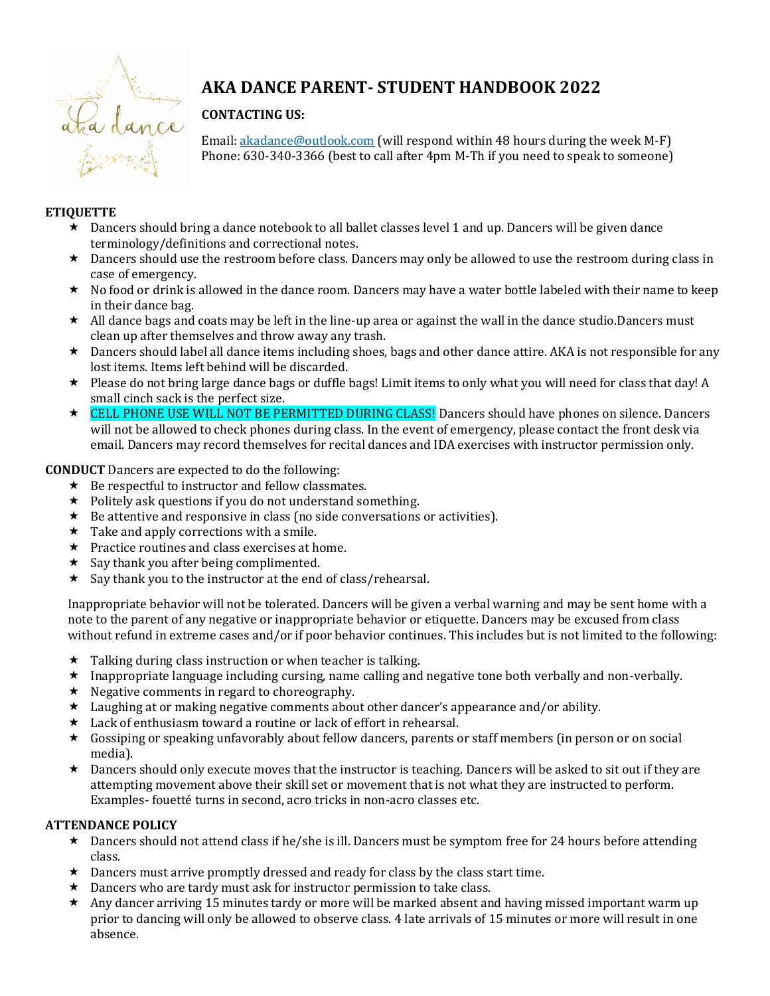

# **AKA DANCE PARENT- STUDENT HANDBOOK 2022**

# **CONTACTING US:**

Email: [akadance@outlook.com](mailto:akadance@outlook.com) (will respond within 48 hours during the week M-F) Phone: 630-340-3366 (best to call after 4pm M-Th if you need to speak to someone)

## **ETIQUETTE**

- Dancers should bring a dance notebook to all ballet classes level 1 and up. Dancers will be given dance terminology/definitions and correctional notes.
- \* Dancers should use the restroom before class. Dancers may only be allowed to use the restroom during class in case of emergency.
- \* No food or drink is allowed in the dance room. Dancers may have a water bottle labeled with their name to keep in their dance bag.
- $\star$  All dance bags and coats may be left in the line-up area or against the wall in the dance studio.Dancers must clean up after themselves and throw away any trash.
- $\star$  Dancers should label all dance items including shoes, bags and other dance attire. AKA is not responsible for any lost items. Items left behind will be discarded.
- Please do not bring large dance bags or duffle bags! Limit items to only what you will need for class that day! A small cinch sack is the perfect size.
- ★ CELL PHONE USE WILL NOT BE PERMITTED DURING CLASS! Dancers should have phones on silence. Dancers will not be allowed to check phones during class. In the event of emergency, please contact the front desk via email. Dancers may record themselves for recital dances and IDA exercises with instructor permission only.

### **CONDUCT** Dancers are expected to do the following:

- $\star$  Be respectful to instructor and fellow classmates.
- $\star$  Politely ask questions if you do not understand something.
- $\star$  Be attentive and responsive in class (no side conversations or activities).
- $\star$  Take and apply corrections with a smile.
- $\star$  Practice routines and class exercises at home.
- $\star$  Say thank you after being complimented.
- $\star$  Say thank you to the instructor at the end of class/rehearsal.

Inappropriate behavior will not be tolerated. Dancers will be given a verbal warning and may be sent home with a note to the parent of any negative or inappropriate behavior or etiquette. Dancers may be excused from class without refund in extreme cases and/or if poor behavior continues. This includes but is not limited to the following:

- $\star$  Talking during class instruction or when teacher is talking.
- $\star$  Inappropriate language including cursing, name calling and negative tone both verbally and non-verbally.
- $\star$  Negative comments in regard to choreography.
- $\star$  Laughing at or making negative comments about other dancer's appearance and/or ability.
- \* Lack of enthusiasm toward a routine or lack of effort in rehearsal.
- Gossiping or speaking unfavorably about fellow dancers, parents or staff members (in person or on social media).
- $\star$  Dancers should only execute moves that the instructor is teaching. Dancers will be asked to sit out if they are attempting movement above their skill set or movement that is not what they are instructed to perform. Examples- fouetté turns in second, acro tricks in non-acro classes etc.

# **ATTENDANCE POLICY**

- $\star$  Dancers should not attend class if he/she is ill. Dancers must be symptom free for 24 hours before attending class.
- $\star$  Dancers must arrive promptly dressed and ready for class by the class start time.
- $\star$  Dancers who are tardy must ask for instructor permission to take class.
- Any dancer arriving 15 minutes tardy or more will be marked absent and having missed important warm up prior to dancing will only be allowed to observe class. 4 late arrivals of 15 minutes or more will result in one absence.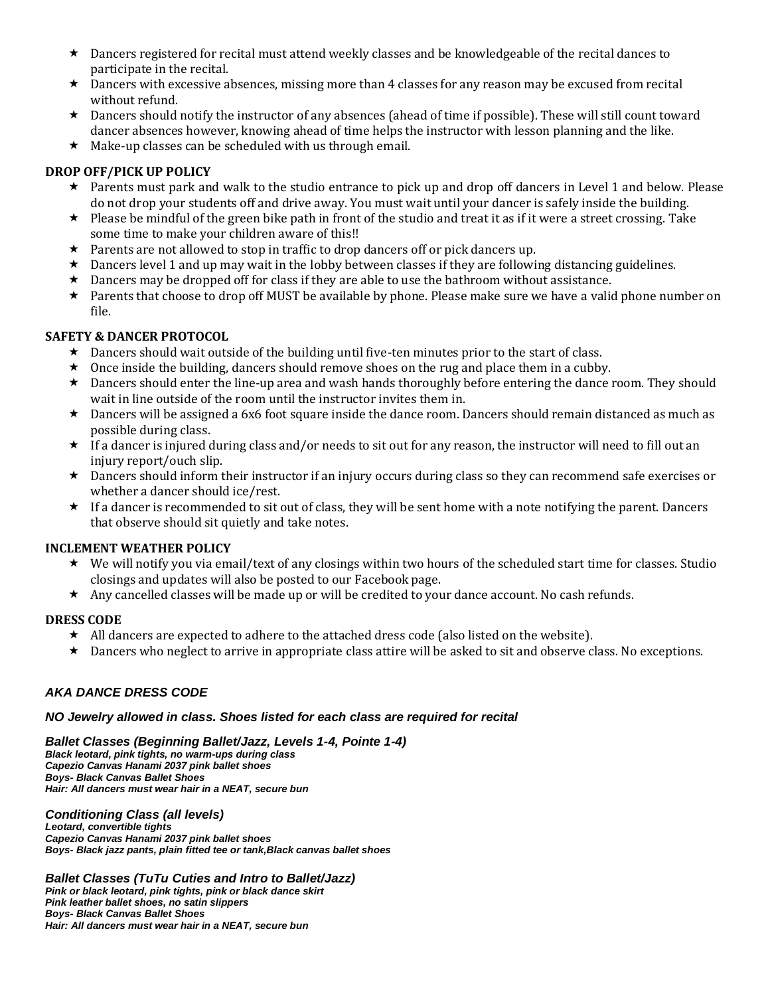- $\star$  Dancers registered for recital must attend weekly classes and be knowledgeable of the recital dances to participate in the recital.
- $\star$  Dancers with excessive absences, missing more than 4 classes for any reason may be excused from recital without refund.
- $\star$  Dancers should notify the instructor of any absences (ahead of time if possible). These will still count toward dancer absences however, knowing ahead of time helps the instructor with lesson planning and the like.
- $\star$  Make-up classes can be scheduled with us through email.

### **DROP OFF/PICK UP POLICY**

- \* Parents must park and walk to the studio entrance to pick up and drop off dancers in Level 1 and below. Please do not drop your students off and drive away. You must wait until your dancer is safely inside the building.
- $\star$  Please be mindful of the green bike path in front of the studio and treat it as if it were a street crossing. Take some time to make your children aware of this!!
- $\star$  Parents are not allowed to stop in traffic to drop dancers off or pick dancers up.
- $\star$  Dancers level 1 and up may wait in the lobby between classes if they are following distancing guidelines.
- $\star$  Dancers may be dropped off for class if they are able to use the bathroom without assistance.
- \* Parents that choose to drop off MUST be available by phone. Please make sure we have a valid phone number on file.

### **SAFETY & DANCER PROTOCOL**

- $\star$  Dancers should wait outside of the building until five-ten minutes prior to the start of class.
- $\star$  Once inside the building, dancers should remove shoes on the rug and place them in a cubby.
- $\star$  Dancers should enter the line-up area and wash hands thoroughly before entering the dance room. They should wait in line outside of the room until the instructor invites them in.
- $\star$  Dancers will be assigned a 6x6 foot square inside the dance room. Dancers should remain distanced as much as possible during class.
- $\star$  If a dancer is injured during class and/or needs to sit out for any reason, the instructor will need to fill out an injury report/ouch slip.
- $\star$  Dancers should inform their instructor if an injury occurs during class so they can recommend safe exercises or whether a dancer should ice/rest.
- $\star$  If a dancer is recommended to sit out of class, they will be sent home with a note notifying the parent. Dancers that observe should sit quietly and take notes.

### **INCLEMENT WEATHER POLICY**

- $\star$  We will notify you via email/text of any closings within two hours of the scheduled start time for classes. Studio closings and updates will also be posted to our Facebook page.
- Any cancelled classes will be made up or will be credited to your dance account. No cash refunds.

### **DRESS CODE**

- $\star$  All dancers are expected to adhere to the attached dress code (also listed on the website).
- $\star$  Dancers who neglect to arrive in appropriate class attire will be asked to sit and observe class. No exceptions.

### *AKA DANCE DRESS CODE*

### *NO Jewelry allowed in class. Shoes listed for each class are required for recital*

*Ballet Classes (Beginning Ballet/Jazz, Levels 1-4, Pointe 1-4) Black leotard, pink tights, no warm-ups during class Capezio Canvas Hanami 2037 pink ballet shoes Boys- Black Canvas Ballet Shoes Hair: All dancers must wear hair in a NEAT, secure bun*

*Conditioning Class (all levels) Leotard, convertible tights Capezio Canvas Hanami 2037 pink ballet shoes Boys- Black jazz pants, plain fitted tee or tank,Black canvas ballet shoes* 

*Ballet Classes (TuTu Cuties and Intro to Ballet/Jazz) Pink or black leotard, pink tights, pink or black dance skirt Pink leather ballet shoes, no satin slippers Boys- Black Canvas Ballet Shoes Hair: All dancers must wear hair in a NEAT, secure bun*